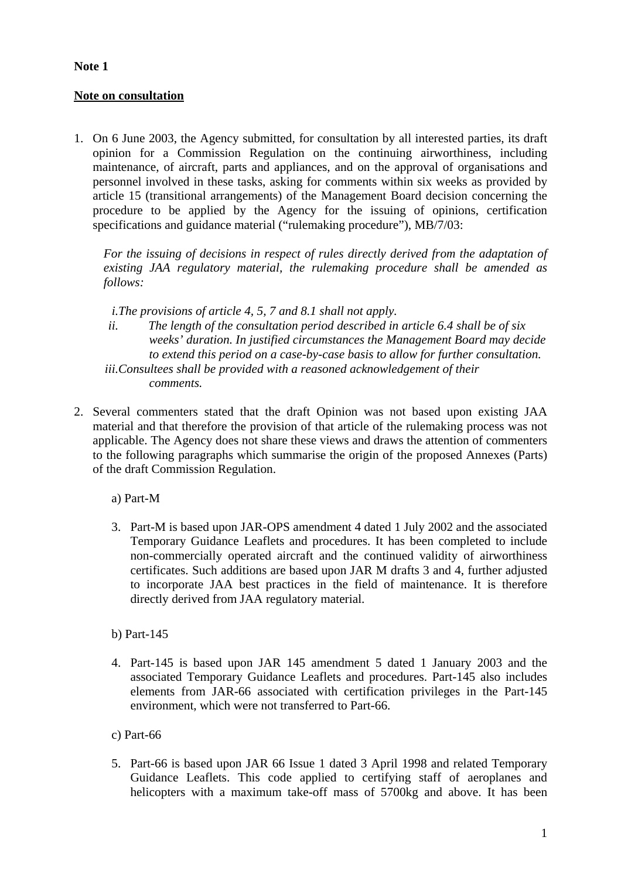## **Note 1**

## **Note on consultation**

1. On 6 June 2003, the Agency submitted, for consultation by all interested parties, its draft opinion for a Commission Regulation on the continuing airworthiness, including maintenance, of aircraft, parts and appliances, and on the approval of organisations and personnel involved in these tasks, asking for comments within six weeks as provided by article 15 (transitional arrangements) of the Management Board decision concerning the procedure to be applied by the Agency for the issuing of opinions, certification specifications and guidance material ("rulemaking procedure"), MB/7/03:

*For the issuing of decisions in respect of rules directly derived from the adaptation of existing JAA regulatory material, the rulemaking procedure shall be amended as follows:* 

*i.The provisions of article 4, 5, 7 and 8.1 shall not apply.* 

- *ii. The length of the consultation period described in article 6.4 shall be of six weeks' duration. In justified circumstances the Management Board may decide to extend this period on a case-by-case basis to allow for further consultation.*
- *iii.Consultees shall be provided with a reasoned acknowledgement of their comments.*
- 2. Several commenters stated that the draft Opinion was not based upon existing JAA material and that therefore the provision of that article of the rulemaking process was not applicable. The Agency does not share these views and draws the attention of commenters to the following paragraphs which summarise the origin of the proposed Annexes (Parts) of the draft Commission Regulation.

a) Part-M

3. Part-M is based upon JAR-OPS amendment 4 dated 1 July 2002 and the associated Temporary Guidance Leaflets and procedures. It has been completed to include non-commercially operated aircraft and the continued validity of airworthiness certificates. Such additions are based upon JAR M drafts 3 and 4, further adjusted to incorporate JAA best practices in the field of maintenance. It is therefore directly derived from JAA regulatory material.

b) Part-145

- 4. Part-145 is based upon JAR 145 amendment 5 dated 1 January 2003 and the associated Temporary Guidance Leaflets and procedures. Part-145 also includes elements from JAR-66 associated with certification privileges in the Part-145 environment, which were not transferred to Part-66.
- c) Part-66
- 5. Part-66 is based upon JAR 66 Issue 1 dated 3 April 1998 and related Temporary Guidance Leaflets. This code applied to certifying staff of aeroplanes and helicopters with a maximum take-off mass of 5700kg and above. It has been